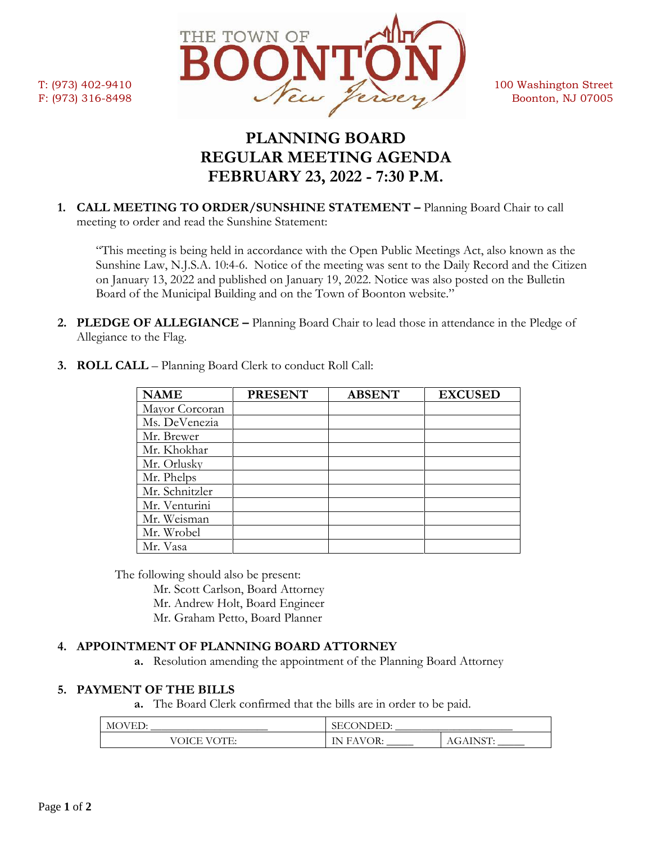

# **PLANNING BOARD REGULAR MEETING AGENDA FEBRUARY 23, 2022 - 7:30 P.M.**

**1. CALL MEETING TO ORDER/SUNSHINE STATEMENT –** Planning Board Chair to call meeting to order and read the Sunshine Statement:

"This meeting is being held in accordance with the Open Public Meetings Act, also known as the Sunshine Law, N.J.S.A. 10:4-6. Notice of the meeting was sent to the Daily Record and the Citizen on January 13, 2022 and published on January 19, 2022. Notice was also posted on the Bulletin Board of the Municipal Building and on the Town of Boonton website."

**2. PLEDGE OF ALLEGIANCE –** Planning Board Chair to lead those in attendance in the Pledge of Allegiance to the Flag.

| <b>NAME</b>    | <b>PRESENT</b> | <b>ABSENT</b> | <b>EXCUSED</b> |
|----------------|----------------|---------------|----------------|
| Mayor Corcoran |                |               |                |
| Ms. DeVenezia  |                |               |                |
| Mr. Brewer     |                |               |                |
| Mr. Khokhar    |                |               |                |
| Mr. Orlusky    |                |               |                |
| Mr. Phelps     |                |               |                |
| Mr. Schnitzler |                |               |                |
| Mr. Venturini  |                |               |                |
| Mr. Weisman    |                |               |                |
| Mr. Wrobel     |                |               |                |
| Mr. Vasa       |                |               |                |

**3. ROLL CALL** – Planning Board Clerk to conduct Roll Call:

The following should also be present:

Mr. Scott Carlson, Board Attorney

Mr. Andrew Holt, Board Engineer

Mr. Graham Petto, Board Planner

## **4. APPOINTMENT OF PLANNING BOARD ATTORNEY**

**a.** Resolution amending the appointment of the Planning Board Attorney

### **5. PAYMENT OF THE BILLS**

**a.** The Board Clerk confirmed that the bills are in order to be paid.

| <b>MOVED:</b> | <b>SECONDED</b> |        |
|---------------|-----------------|--------|
| OICE VOTE:    | <b>FAVOR:</b>   | . INST |
| $\sqrt{6}$    | IN.             | AGAIN  |